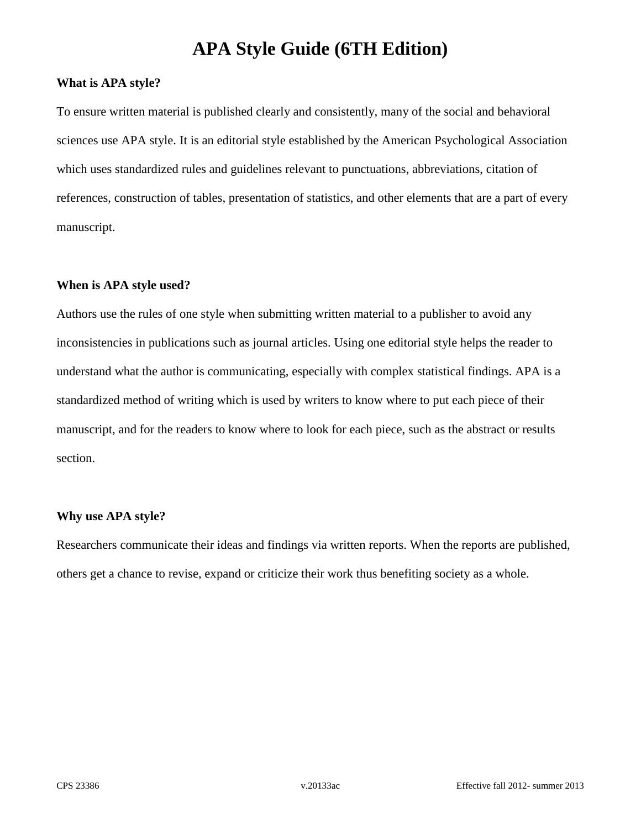### **What is APA style?**

To ensure written material is published clearly and consistently, many of the social and behavioral sciences use APA style. It is an editorial style established by the American Psychological Association which uses standardized rules and guidelines relevant to punctuations, abbreviations, citation of references, construction of tables, presentation of statistics, and other elements that are a part of every manuscript.

### **When is APA style used?**

Authors use the rules of one style when submitting written material to a publisher to avoid any inconsistencies in publications such as journal articles. Using one editorial style helps the reader to understand what the author is communicating, especially with complex statistical findings. APA is a standardized method of writing which is used by writers to know where to put each piece of their manuscript, and for the readers to know where to look for each piece, such as the abstract or results section.

#### **Why use APA style?**

Researchers communicate their ideas and findings via written reports. When the reports are published, others get a chance to revise, expand or criticize their work thus benefiting society as a whole.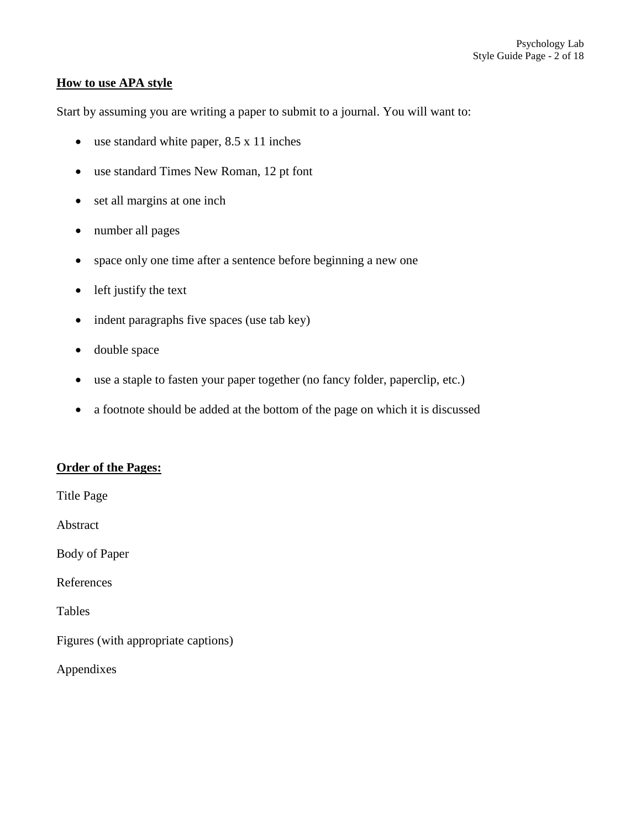### **How to use APA style**

Start by assuming you are writing a paper to submit to a journal. You will want to:

- use standard white paper, 8.5 x 11 inches
- use standard Times New Roman, 12 pt font
- set all margins at one inch
- number all pages
- space only one time after a sentence before beginning a new one
- left justify the text
- indent paragraphs five spaces (use tab key)
- double space
- use a staple to fasten your paper together (no fancy folder, paperclip, etc.)
- a footnote should be added at the bottom of the page on which it is discussed

### **Order of the Pages:**

Title Page

Abstract

Body of Paper

References

Tables

Figures (with appropriate captions)

Appendixes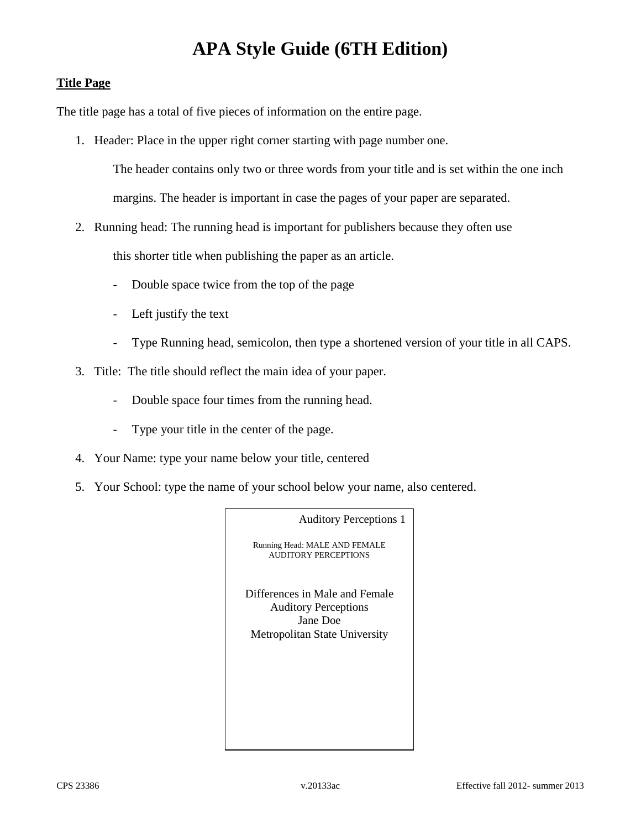# **Title Page**

The title page has a total of five pieces of information on the entire page.

1. Header: Place in the upper right corner starting with page number one.

The header contains only two or three words from your title and is set within the one inch margins. The header is important in case the pages of your paper are separated.

2. Running head: The running head is important for publishers because they often use

this shorter title when publishing the paper as an article.

- Double space twice from the top of the page
- Left justify the text
- Type Running head, semicolon, then type a shortened version of your title in all CAPS.
- 3. Title: The title should reflect the main idea of your paper.
	- Double space four times from the running head.
	- Type your title in the center of the page.
- 4. Your Name: type your name below your title, centered
- 5. Your School: type the name of your school below your name, also centered.

Auditory Perceptions 1

Running Head: MALE AND FEMALE AUDITORY PERCEPTIONS

Differences in Male and Female Auditory Perceptions Jane Doe Metropolitan State University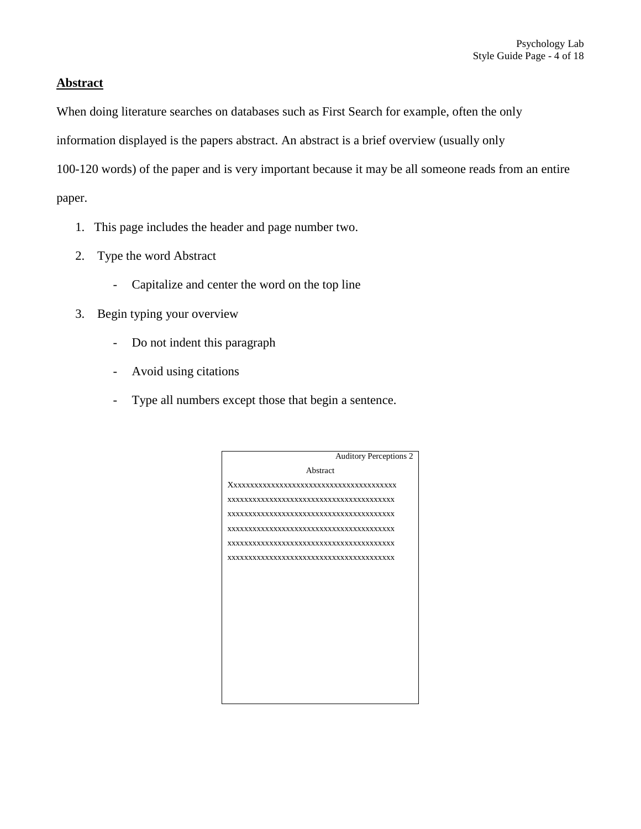### **Abstract**

When doing literature searches on databases such as First Search for example, often the only

information displayed is the papers abstract. An abstract is a brief overview (usually only

100-120 words) of the paper and is very important because it may be all someone reads from an entire

paper.

- 1. This page includes the header and page number two.
- 2. Type the word Abstract
	- Capitalize and center the word on the top line
- 3. Begin typing your overview
	- Do not indent this paragraph
	- Avoid using citations
	- Type all numbers except those that begin a sentence.

|          | <b>Auditory Perceptions 2</b> |  |  |
|----------|-------------------------------|--|--|
| Abstract |                               |  |  |
|          |                               |  |  |
|          |                               |  |  |
|          |                               |  |  |
|          |                               |  |  |
|          |                               |  |  |
|          |                               |  |  |
|          |                               |  |  |
|          |                               |  |  |
|          |                               |  |  |
|          |                               |  |  |
|          |                               |  |  |
|          |                               |  |  |
|          |                               |  |  |
|          |                               |  |  |
|          |                               |  |  |
|          |                               |  |  |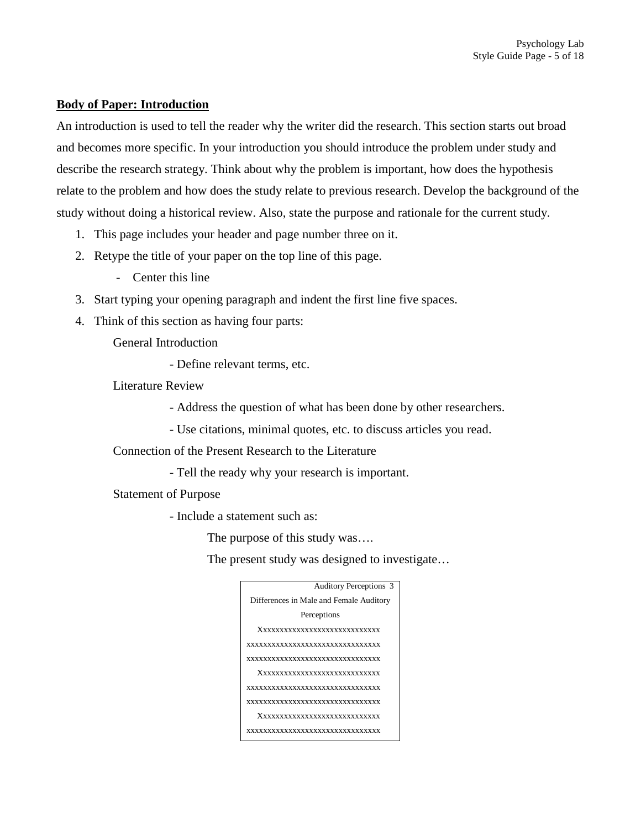### **Body of Paper: Introduction**

An introduction is used to tell the reader why the writer did the research. This section starts out broad and becomes more specific. In your introduction you should introduce the problem under study and describe the research strategy. Think about why the problem is important, how does the hypothesis relate to the problem and how does the study relate to previous research. Develop the background of the study without doing a historical review. Also, state the purpose and rationale for the current study.

- 1. This page includes your header and page number three on it.
- 2. Retype the title of your paper on the top line of this page.
	- Center this line
- 3. Start typing your opening paragraph and indent the first line five spaces.
- 4. Think of this section as having four parts:

General Introduction

- Define relevant terms, etc.

Literature Review

- Address the question of what has been done by other researchers.

- Use citations, minimal quotes, etc. to discuss articles you read.

Connection of the Present Research to the Literature

- Tell the ready why your research is important.

Statement of Purpose

- Include a statement such as:

The purpose of this study was….

The present study was designed to investigate…

| <b>Auditory Perceptions 3</b>           |  |  |  |
|-----------------------------------------|--|--|--|
|                                         |  |  |  |
| Differences in Male and Female Auditory |  |  |  |
| Perceptions                             |  |  |  |
| Xxxxxxxxxxxxxxxxxxxxxxxxxxx             |  |  |  |
| xxxxxxxxxxxxxxxxxxxxxxxxxxxxxx          |  |  |  |
| xxxxxxxxxxxxxxxxxxxxxxxxxxxxxx          |  |  |  |
| Xxxxxxxxxxxxxxxxxxxxxxxxxxx             |  |  |  |
| xxxxxxxxxxxxxxxxxxxxxxxxxxxxxx          |  |  |  |
| xxxxxxxxxxxxxxxxxxxxxxxxxxxxxx          |  |  |  |
| Xxxxxxxxxxxxxxxxxxxxxxxxxxx             |  |  |  |
| xxxxxxxxxxxxxxxxxxxxxxxxxxxxxxx         |  |  |  |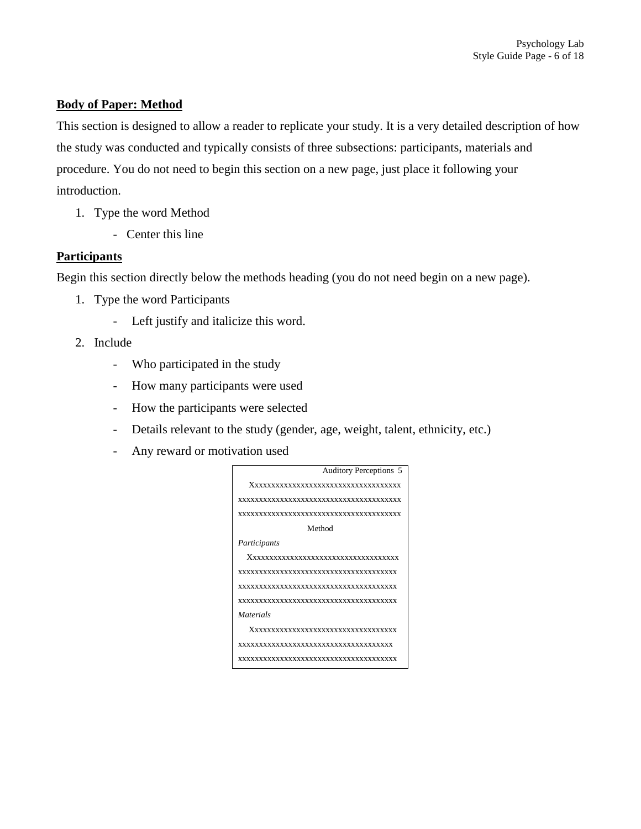# **Body of Paper: Method**

This section is designed to allow a reader to replicate your study. It is a very detailed description of how the study was conducted and typically consists of three subsections: participants, materials and procedure. You do not need to begin this section on a new page, just place it following your introduction.

- 1. Type the word Method
	- Center this line

### **Participants**

Begin this section directly below the methods heading (you do not need begin on a new page).

- 1. Type the word Participants
	- Left justify and italicize this word.
- 2. Include
	- Who participated in the study
	- How many participants were used
	- How the participants were selected
	- Details relevant to the study (gender, age, weight, talent, ethnicity, etc.)
	- Any reward or motivation used

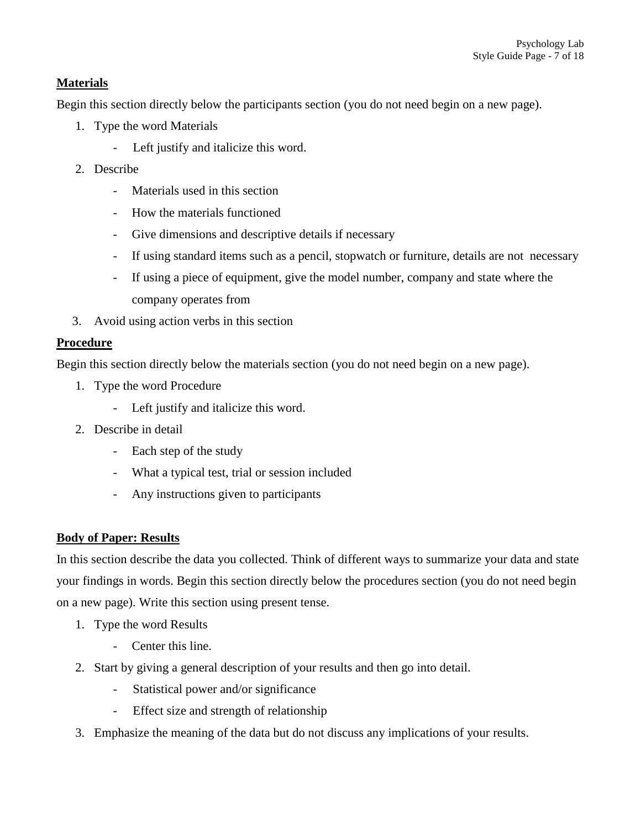# **Materials**

Begin this section directly below the participants section (you do not need begin on a new page).

- 1. Type the word Materials
	- Left justify and italicize this word.
- 2. Describe
	- Materials used in this section
	- How the materials functioned
	- Give dimensions and descriptive details if necessary
	- If using standard items such as a pencil, stopwatch or furniture, details are not necessary
	- If using a piece of equipment, give the model number, company and state where the company operates from
- 3. Avoid using action verbs in this section

# **Procedure**

Begin this section directly below the materials section (you do not need begin on a new page).

- 1. Type the word Procedure
	- Left justify and italicize this word.
- 2. Describe in detail
	- Each step of the study
	- What a typical test, trial or session included
	- Any instructions given to participants

# **Body of Paper: Results**

In this section describe the data you collected. Think of different ways to summarize your data and state your findings in words. Begin this section directly below the procedures section (you do not need begin on a new page). Write this section using present tense.

- 1. Type the word Results
	- Center this line.
- 2. Start by giving a general description of your results and then go into detail.
	- Statistical power and/or significance
	- Effect size and strength of relationship
- 3. Emphasize the meaning of the data but do not discuss any implications of your results.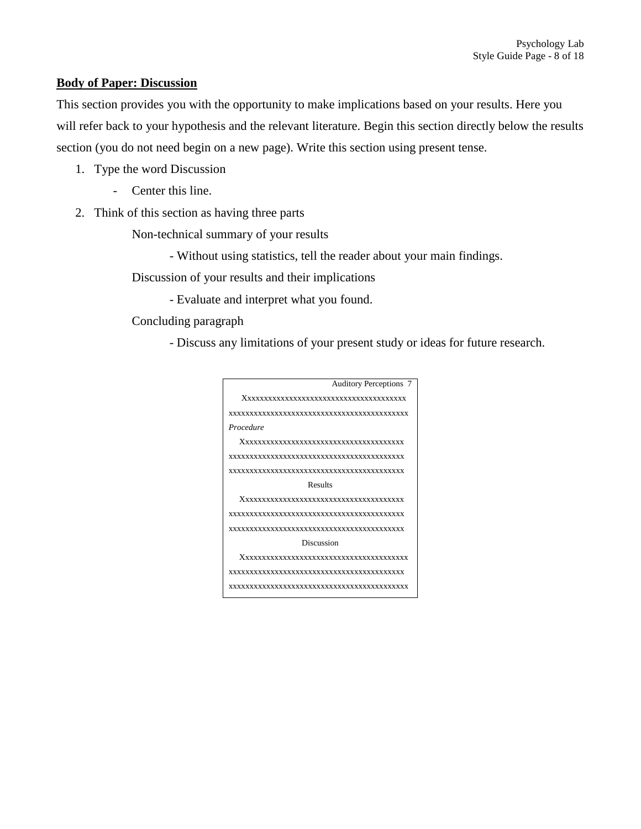### **Body of Paper: Discussion**

This section provides you with the opportunity to make implications based on your results. Here you will refer back to your hypothesis and the relevant literature. Begin this section directly below the results section (you do not need begin on a new page). Write this section using present tense.

- 1. Type the word Discussion
	- Center this line.
- 2. Think of this section as having three parts

Non-technical summary of your results

- Without using statistics, tell the reader about your main findings.

Discussion of your results and their implications

- Evaluate and interpret what you found.

Concluding paragraph

- Discuss any limitations of your present study or ideas for future research.

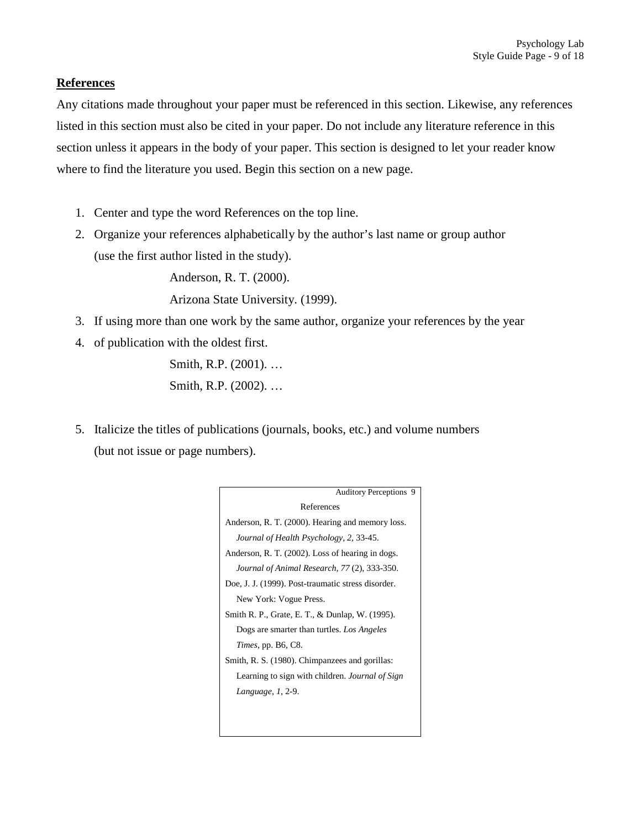### **References**

Any citations made throughout your paper must be referenced in this section. Likewise, any references listed in this section must also be cited in your paper. Do not include any literature reference in this section unless it appears in the body of your paper. This section is designed to let your reader know where to find the literature you used. Begin this section on a new page.

- 1. Center and type the word References on the top line.
- 2. Organize your references alphabetically by the author's last name or group author (use the first author listed in the study).

Anderson, R. T. (2000).

Arizona State University. (1999).

- 3. If using more than one work by the same author, organize your references by the year
- 4. of publication with the oldest first. Smith, R.P. (2001). …

Smith, R.P. (2002). …

5. Italicize the titles of publications (journals, books, etc.) and volume numbers (but not issue or page numbers).

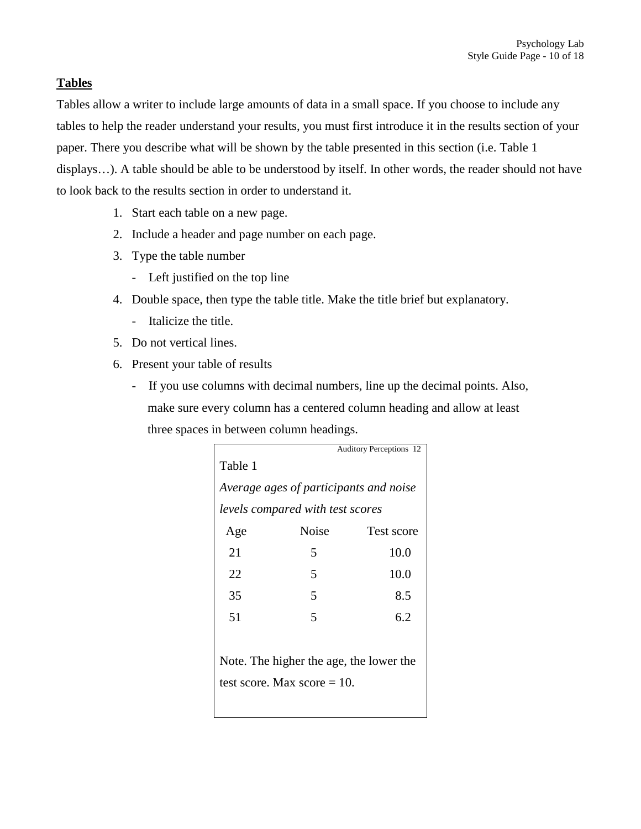# **Tables**

Tables allow a writer to include large amounts of data in a small space. If you choose to include any tables to help the reader understand your results, you must first introduce it in the results section of your paper. There you describe what will be shown by the table presented in this section (i.e. Table 1 displays…). A table should be able to be understood by itself. In other words, the reader should not have to look back to the results section in order to understand it.

- 1. Start each table on a new page.
- 2. Include a header and page number on each page.
- 3. Type the table number
	- Left justified on the top line
- 4. Double space, then type the table title. Make the title brief but explanatory.
	- Italicize the title.
- 5. Do not vertical lines.
- 6. Present your table of results
	- If you use columns with decimal numbers, line up the decimal points. Also, make sure every column has a centered column heading and allow at least three spaces in between column headings.

|                                        |              | <b>Auditory Perceptions 12</b> |  |  |
|----------------------------------------|--------------|--------------------------------|--|--|
| Table 1                                |              |                                |  |  |
| Average ages of participants and noise |              |                                |  |  |
| levels compared with test scores       |              |                                |  |  |
| Age                                    | <b>Noise</b> | Test score                     |  |  |
| 21                                     | 5            | 10.0                           |  |  |
| 22.                                    | 5            | 10.0                           |  |  |
| 35                                     | 5            | 8.5                            |  |  |
| 51                                     | 5            | 6.2                            |  |  |
|                                        |              |                                |  |  |

Note. The higher the age, the lower the test score. Max score  $= 10$ .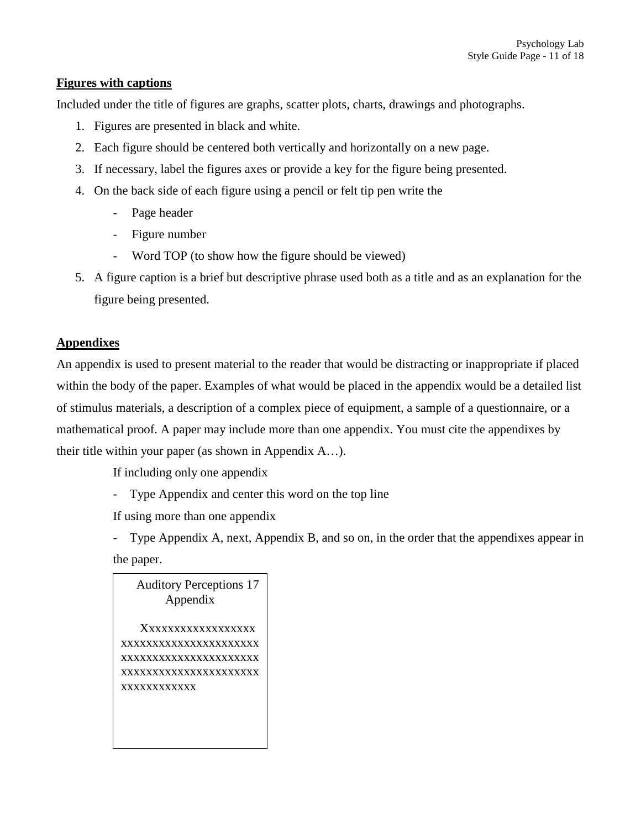# **Figures with captions**

Included under the title of figures are graphs, scatter plots, charts, drawings and photographs.

- 1. Figures are presented in black and white.
- 2. Each figure should be centered both vertically and horizontally on a new page.
- 3. If necessary, label the figures axes or provide a key for the figure being presented.
- 4. On the back side of each figure using a pencil or felt tip pen write the
	- Page header
	- Figure number
	- Word TOP (to show how the figure should be viewed)
- 5. A figure caption is a brief but descriptive phrase used both as a title and as an explanation for the figure being presented.

# **Appendixes**

An appendix is used to present material to the reader that would be distracting or inappropriate if placed within the body of the paper. Examples of what would be placed in the appendix would be a detailed list of stimulus materials, a description of a complex piece of equipment, a sample of a questionnaire, or a mathematical proof. A paper may include more than one appendix. You must cite the appendixes by their title within your paper (as shown in Appendix A…).

If including only one appendix

Type Appendix and center this word on the top line

If using more than one appendix

- Type Appendix A, next, Appendix B, and so on, in the order that the appendixes appear in the paper.

Auditory Perceptions 17 Appendix Xxxxxxxxxxxxxxxx xxxxxxxxxxxxxxxxxxxxxx xxxxxxxxxxxxxxxxxxxxxx xxxxxxxxxxxxxxxxxxxxxx xxxxxxxxxxxx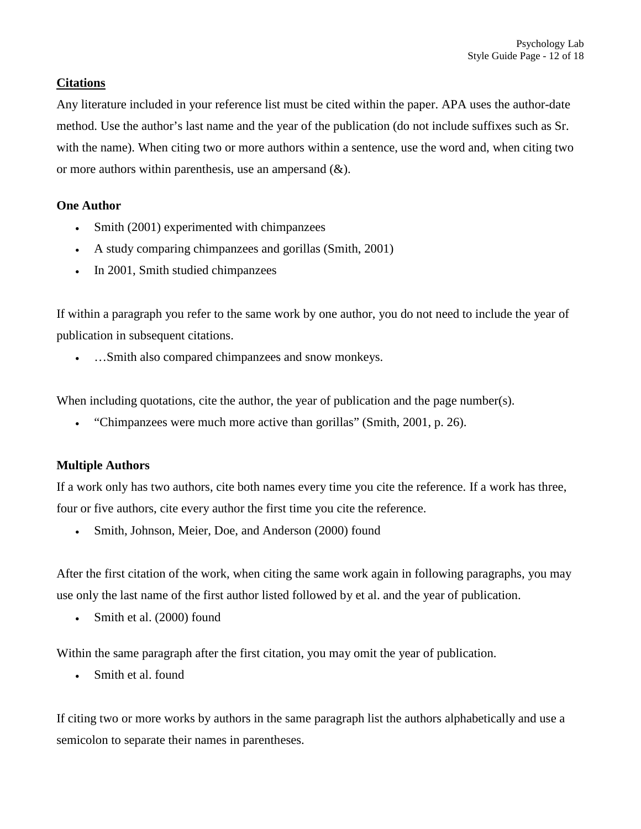# **Citations**

Any literature included in your reference list must be cited within the paper. APA uses the author-date method. Use the author's last name and the year of the publication (do not include suffixes such as Sr. with the name). When citing two or more authors within a sentence, use the word and, when citing two or more authors within parenthesis, use an ampersand  $(\&)$ .

### **One Author**

- Smith (2001) experimented with chimpanzees
- A study comparing chimpanzees and gorillas (Smith, 2001)
- In 2001, Smith studied chimpanzees

If within a paragraph you refer to the same work by one author, you do not need to include the year of publication in subsequent citations.

• …Smith also compared chimpanzees and snow monkeys.

When including quotations, cite the author, the year of publication and the page number(s).

• "Chimpanzees were much more active than gorillas" (Smith, 2001, p. 26).

# **Multiple Authors**

If a work only has two authors, cite both names every time you cite the reference. If a work has three, four or five authors, cite every author the first time you cite the reference.

• Smith, Johnson, Meier, Doe, and Anderson (2000) found

After the first citation of the work, when citing the same work again in following paragraphs, you may use only the last name of the first author listed followed by et al. and the year of publication.

• Smith et al. (2000) found

Within the same paragraph after the first citation, you may omit the year of publication.

• Smith et al. found

If citing two or more works by authors in the same paragraph list the authors alphabetically and use a semicolon to separate their names in parentheses.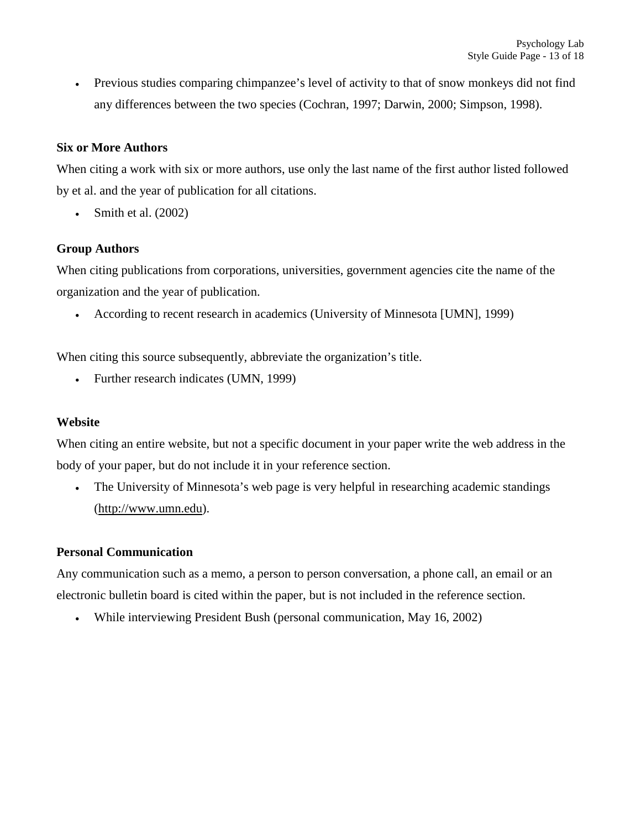• Previous studies comparing chimpanzee's level of activity to that of snow monkeys did not find any differences between the two species (Cochran, 1997; Darwin, 2000; Simpson, 1998).

# **Six or More Authors**

When citing a work with six or more authors, use only the last name of the first author listed followed by et al. and the year of publication for all citations.

Smith et al. (2002)

# **Group Authors**

When citing publications from corporations, universities, government agencies cite the name of the organization and the year of publication.

• According to recent research in academics (University of Minnesota [UMN], 1999)

When citing this source subsequently, abbreviate the organization's title.

• Further research indicates (UMN, 1999)

### **Website**

When citing an entire website, but not a specific document in your paper write the web address in the body of your paper, but do not include it in your reference section.

• The University of Minnesota's web page is very helpful in researching academic standings [\(http://www.umn.edu\)](http://www.umn.edu/).

# **Personal Communication**

Any communication such as a memo, a person to person conversation, a phone call, an email or an electronic bulletin board is cited within the paper, but is not included in the reference section.

• While interviewing President Bush (personal communication, May 16, 2002)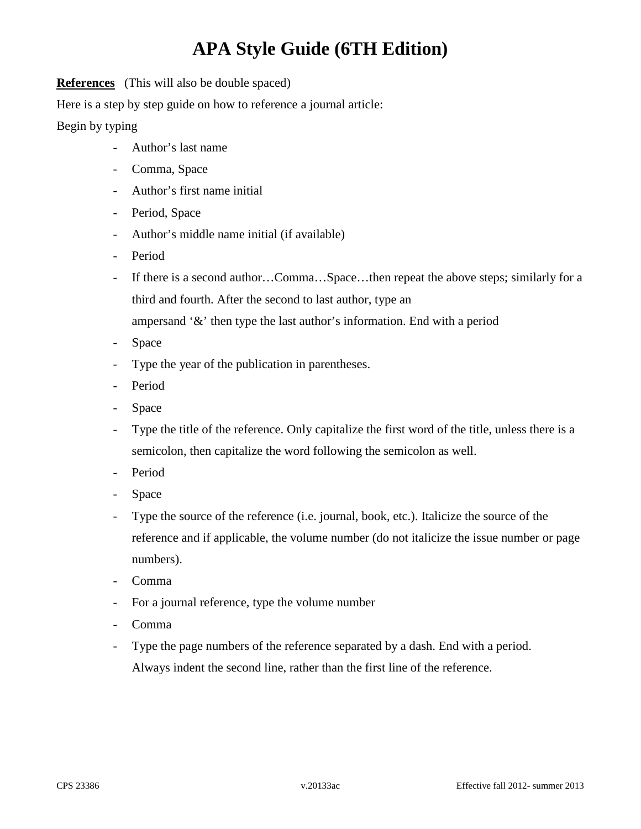**References** (This will also be double spaced)

Here is a step by step guide on how to reference a journal article:

# Begin by typing

- Author's last name
- Comma, Space
- Author's first name initial
- Period, Space
- Author's middle name initial (if available)
- Period
- If there is a second author…Comma…Space…then repeat the above steps; similarly for a third and fourth. After the second to last author, type an ampersand '&' then type the last author's information. End with a period
- Space
- Type the year of the publication in parentheses.
- Period
- Space
- Type the title of the reference. Only capitalize the first word of the title, unless there is a semicolon, then capitalize the word following the semicolon as well.
- Period
- Space
- Type the source of the reference (i.e. journal, book, etc.). Italicize the source of the reference and if applicable, the volume number (do not italicize the issue number or page numbers).
- Comma
- For a journal reference, type the volume number
- Comma
- Type the page numbers of the reference separated by a dash. End with a period. Always indent the second line, rather than the first line of the reference.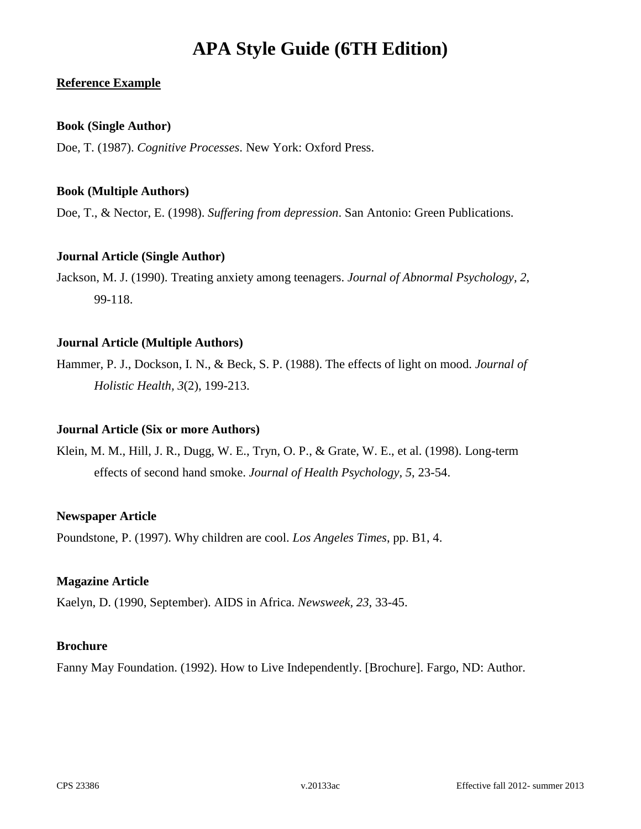# **Reference Example**

# **Book (Single Author)**

Doe, T. (1987). *Cognitive Processes*. New York: Oxford Press.

# **Book (Multiple Authors)**

Doe, T., & Nector, E. (1998). *Suffering from depression*. San Antonio: Green Publications.

# **Journal Article (Single Author)**

Jackson, M. J. (1990). Treating anxiety among teenagers. *Journal of Abnormal Psychology, 2*, 99-118.

### **Journal Article (Multiple Authors)**

Hammer, P. J., Dockson, I. N., & Beck, S. P. (1988). The effects of light on mood. *Journal of Holistic Health, 3*(2), 199-213.

### **Journal Article (Six or more Authors)**

Klein, M. M., Hill, J. R., Dugg, W. E., Tryn, O. P., & Grate, W. E., et al. (1998). Long-term effects of second hand smoke. *Journal of Health Psychology, 5*, 23-54.

### **Newspaper Article**

Poundstone, P. (1997). Why children are cool. *Los Angeles Times*, pp. B1, 4.

### **Magazine Article**

Kaelyn, D. (1990, September). AIDS in Africa. *Newsweek, 23*, 33-45.

#### **Brochure**

Fanny May Foundation. (1992). How to Live Independently. [Brochure]. Fargo, ND: Author.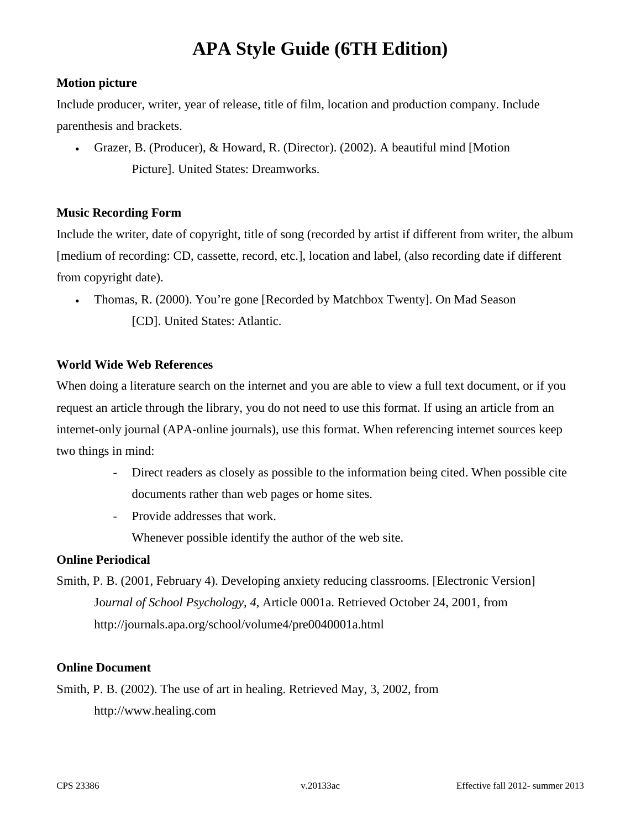# **Motion picture**

Include producer, writer, year of release, title of film, location and production company. Include parenthesis and brackets.

• Grazer, B. (Producer), & Howard, R. (Director). (2002). A beautiful mind [Motion Picture]. United States: Dreamworks.

# **Music Recording Form**

Include the writer, date of copyright, title of song (recorded by artist if different from writer, the album [medium of recording: CD, cassette, record, etc.], location and label, (also recording date if different from copyright date).

• Thomas, R. (2000). You're gone [Recorded by Matchbox Twenty]. On Mad Season [CD]. United States: Atlantic.

# **World Wide Web References**

When doing a literature search on the internet and you are able to view a full text document, or if you request an article through the library, you do not need to use this format. If using an article from an internet-only journal (APA-online journals), use this format. When referencing internet sources keep two things in mind:

- Direct readers as closely as possible to the information being cited. When possible cite documents rather than web pages or home sites.
- Provide addresses that work.

Whenever possible identify the author of the web site.

### **Online Periodical**

Smith, P. B. (2001, February 4). Developing anxiety reducing classrooms. [Electronic Version] Jo*urnal of School Psychology, 4,* Article 0001a. Retrieved October 24, 2001, from <http://journals.apa.org/school/volume4/pre0040001a.html>

### **Online Document**

Smith, P. B. (2002). The use of art in healing. Retrieved May, 3, 2002, from http://www.healing.com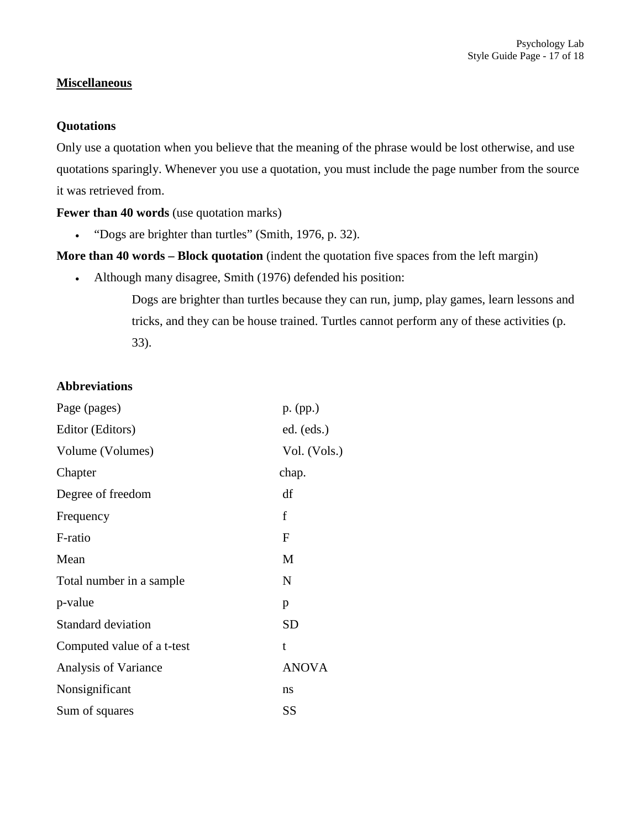# **Miscellaneous**

# **Quotations**

Only use a quotation when you believe that the meaning of the phrase would be lost otherwise, and use quotations sparingly. Whenever you use a quotation, you must include the page number from the source it was retrieved from.

**Fewer than 40 words** (use quotation marks)

• "Dogs are brighter than turtles" (Smith, 1976, p. 32).

**More than 40 words – Block quotation** (indent the quotation five spaces from the left margin)

• Although many disagree, Smith (1976) defended his position:

Dogs are brighter than turtles because they can run, jump, play games, learn lessons and tricks, and they can be house trained. Turtles cannot perform any of these activities (p. 33).

### **Abbreviations**

| Page (pages)               | p. (pp.)     |
|----------------------------|--------------|
| Editor (Editors)           | ed. (eds.)   |
| Volume (Volumes)           | Vol. (Vols.) |
| Chapter                    | chap.        |
| Degree of freedom          | df           |
| Frequency                  | f            |
| F-ratio                    | $\mathbf{F}$ |
| Mean                       | М            |
| Total number in a sample.  | N            |
| p-value                    | p            |
| <b>Standard deviation</b>  | SD           |
| Computed value of a t-test | t            |
| Analysis of Variance       | <b>ANOVA</b> |
| Nonsignificant             | ns           |
| Sum of squares             | SS           |